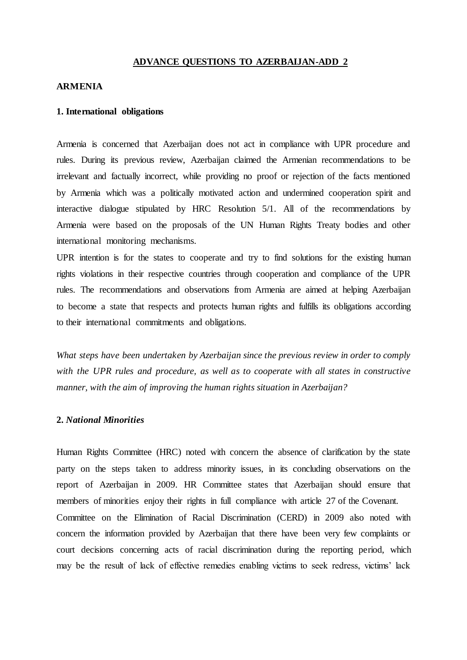## **ADVANCE QUESTIONS TO AZERBAIJAN-ADD 2**

#### **ARMENIA**

#### **1. International obligations**

Armenia is concerned that Azerbaijan does not act in compliance with UPR procedure and rules. During its previous review, Azerbaijan claimed the Armenian recommendations to be irrelevant and factually incorrect, while providing no proof or rejection of the facts mentioned by Armenia which was a politically motivated action and undermined cooperation spirit and interactive dialogue stipulated by HRC Resolution 5/1. All of the recommendations by Armenia were based on the proposals of the UN Human Rights Treaty bodies and other international monitoring mechanisms.

UPR intention is for the states to cooperate and try to find solutions for the existing human rights violations in their respective countries through cooperation and compliance of the UPR rules. The recommendations and observations from Armenia are aimed at helping Azerbaijan to become a state that respects and protects human rights and fulfills its obligations according to their international commitments and obligations.

*What steps have been undertaken by Azerbaijan since the previous review in order to comply with the UPR rules and procedure, as well as to cooperate with all states in constructive manner, with the aim of improving the human rights situation in Azerbaijan?*

#### **2.** *National Minorities*

Human Rights Committee (HRC) noted with concern the absence of clarification by the state party on the steps taken to address minority issues, in its concluding observations on the report of Azerbaijan in 2009. HR Committee states that Azerbaijan should ensure that members of minorities enjoy their rights in full compliance with article 27 of the Covenant. Committee on the Elimination of Racial Discrimination (CERD) in 2009 also noted with concern the information provided by Azerbaijan that there have been very few complaints or court decisions concerning acts of racial discrimination during the reporting period, which may be the result of lack of effective remedies enabling victims to seek redress, victims' lack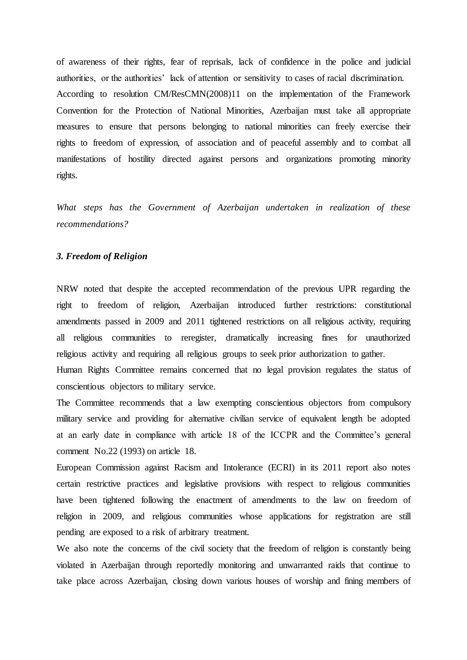of awareness of their rights, fear of reprisals, lack of confidence in the police and judicial authorities, or the authorities' lack of attention or sensitivity to cases of racial discrimination. According to resolution CM/ResCMN(2008)11 on the implementation of the Framework Convention for the Protection of National Minorities, Azerbaijan must take all appropriate measures to ensure that persons belonging to national minorities can freely exercise their rights to freedom of expression, of association and of peaceful assembly and to combat all manifestations of hostility directed against persons and organizations promoting minority rights.

*What steps has the Government of Azerbaijan undertaken in realization of these recommendations?*

## *3. Freedom of Religion*

NRW noted that despite the accepted recommendation of the previous UPR regarding the right to freedom of religion, Azerbaijan introduced further restrictions: constitutional amendments passed in 2009 and 2011 tightened restrictions on all religious activity, requiring all religious communities to reregister, dramatically increasing fines for unauthorized religious activity and requiring all religious groups to seek prior authorization to gather.

Human Rights Committee remains concerned that no legal provision regulates the status of conscientious objectors to military service.

The Committee recommends that a law exempting conscientious objectors from compulsory military service and providing for alternative civilian service of equivalent length be adopted at an early date in compliance with article 18 of the ICCPR and the Committee's general comment No.22 (1993) on article 18.

European Commission against Racism and Intolerance (ECRI) in its 2011 report also notes certain restrictive practices and legislative provisions with respect to religious communities have been tightened following the enactment of amendments to the law on freedom of religion in 2009, and religious communities whose applications for registration are still pending are exposed to a risk of arbitrary treatment.

We also note the concerns of the civil society that the freedom of religion is constantly being violated in Azerbaijan through reportedly monitoring and unwarranted raids that continue to take place across Azerbaijan, closing down various houses of worship and fining members of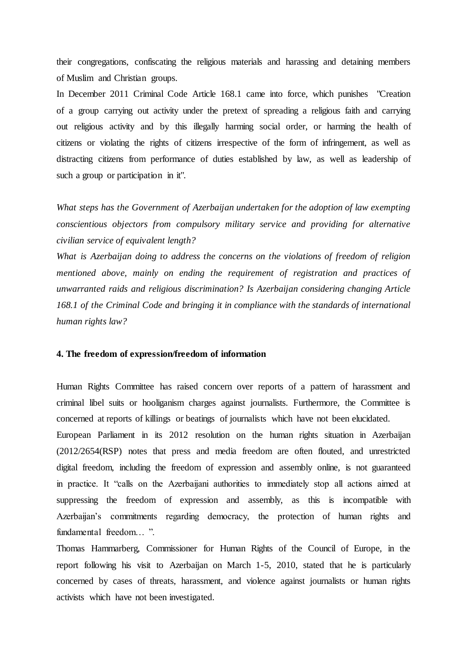their congregations, confiscating the religious materials and harassing and detaining members of Muslim and Christian groups.

In December 2011 Criminal Code Article 168.1 came into force, which punishes "Creation of a group carrying out activity under the pretext of spreading a religious faith and carrying out religious activity and by this illegally harming social order, or harming the health of citizens or violating the rights of citizens irrespective of the form of infringement, as well as distracting citizens from performance of duties established by law, as well as leadership of such a group or participation in it".

*What steps has the Government of Azerbaijan undertaken for the adoption of law exempting conscientious objectors from compulsory military service and providing for alternative civilian service of equivalent length?*

*What is Azerbaijan doing to address the concerns on the violations of freedom of religion mentioned above, mainly on ending the requirement of registration and practices of unwarranted raids and religious discrimination? Is Azerbaijan considering changing Article 168.1 of the Criminal Code and bringing it in compliance with the standards of international human rights law?*

#### **4. The freedom of expression/freedom of information**

Human Rights Committee has raised concern over reports of a pattern of harassment and criminal libel suits or hooliganism charges against journalists. Furthermore, the Committee is concerned at reports of killings or beatings of journalists which have not been elucidated.

European Parliament in its 2012 resolution on the human rights situation in Azerbaijan (2012/2654(RSP) notes that press and media freedom are often flouted, and unrestricted digital freedom, including the freedom of expression and assembly online, is not guaranteed in practice. It "calls on the Azerbaijani authorities to immediately stop all actions aimed at suppressing the freedom of expression and assembly, as this is incompatible with Azerbaijan's commitments regarding democracy, the protection of human rights and fundamental freedom… ".

Thomas Hammarberg, Commissioner for Human Rights of the Council of Europe, in the report following his visit to Azerbaijan on March 1-5, 2010, stated that he is particularly concerned by cases of threats, harassment, and violence against journalists or human rights activists which have not been investigated.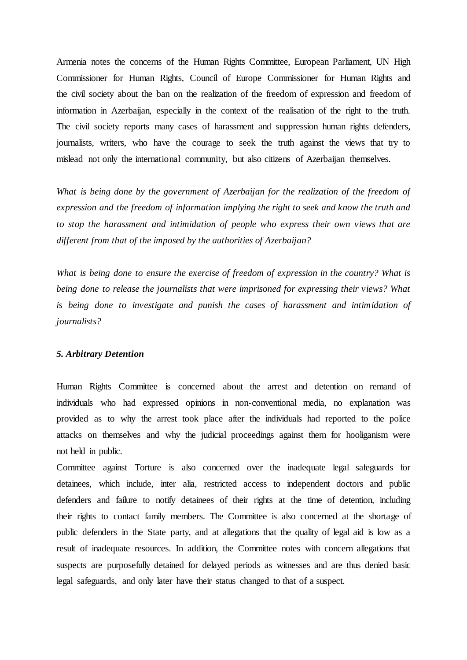Armenia notes the concerns of the Human Rights Committee, European Parliament, UN High Commissioner for Human Rights, Council of Europe Commissioner for Human Rights and the civil society about the ban on the realization of the freedom of expression and freedom of information in Azerbaijan, especially in the context of the realisation of the right to the truth. The civil society reports many cases of harassment and suppression human rights defenders, journalists, writers, who have the courage to seek the truth against the views that try to mislead not only the international community, but also citizens of Azerbaijan themselves.

What is being done by the government of Azerbaijan for the realization of the freedom of *expression and the freedom of information implying the right to seek and know the truth and to stop the harassment and intimidation of people who express their own views that are different from that of the imposed by the authorities of Azerbaijan?*

*What is being done to ensure the exercise of freedom of expression in the country? What is being done to release the journalists that were imprisoned for expressing their views? What is being done to investigate and punish the cases of harassment and intimidation of journalists?* 

## *5. Arbitrary Detention*

Human Rights Committee is concerned about the arrest and detention on remand of individuals who had expressed opinions in non-conventional media, no explanation was provided as to why the arrest took place after the individuals had reported to the police attacks on themselves and why the judicial proceedings against them for hooliganism were not held in public.

Committee against Torture is also concerned over the inadequate legal safeguards for detainees, which include, inter alia, restricted access to independent doctors and public defenders and failure to notify detainees of their rights at the time of detention, including their rights to contact family members. The Committee is also concerned at the shortage of public defenders in the State party, and at allegations that the quality of legal aid is low as a result of inadequate resources. In addition, the Committee notes with concern allegations that suspects are purposefully detained for delayed periods as witnesses and are thus denied basic legal safeguards, and only later have their status changed to that of a suspect.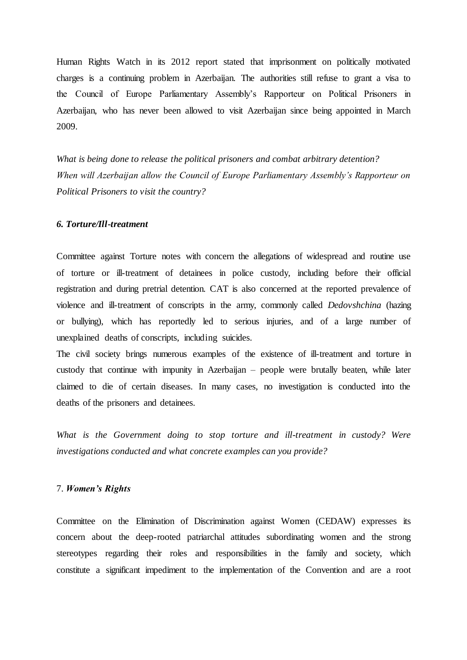Human Rights Watch in its 2012 report stated that imprisonment on politically motivated charges is a continuing problem in Azerbaijan. The authorities still refuse to grant a visa to the Council of Europe Parliamentary Assembly's Rapporteur on Political Prisoners in Azerbaijan, who has never been allowed to visit Azerbaijan since being appointed in March 2009.

*What is being done to release the political prisoners and combat arbitrary detention? When will Azerbaijan allow the Council of Europe Parliamentary Assembly's Rapporteur on Political Prisoners to visit the country?* 

#### *6. Torture/Ill-treatment*

Committee against Torture notes with concern the allegations of widespread and routine use of torture or ill-treatment of detainees in police custody, including before their official registration and during pretrial detention. CAT is also concerned at the reported prevalence of violence and ill-treatment of conscripts in the army, commonly called *Dedovshchina* (hazing or bullying), which has reportedly led to serious injuries, and of a large number of unexplained deaths of conscripts, including suicides.

The civil society brings numerous examples of the existence of ill-treatment and torture in custody that continue with impunity in Azerbaijan – people were brutally beaten, while later claimed to die of certain diseases. In many cases, no investigation is conducted into the deaths of the prisoners and detainees.

*What is the Government doing to stop torture and ill-treatment in custody? Were investigations conducted and what concrete examples can you provide?*

#### 7. *Women's Rights*

Committee on the Elimination of Discrimination against Women (CEDAW) expresses its concern about the deep-rooted patriarchal attitudes subordinating women and the strong stereotypes regarding their roles and responsibilities in the family and society, which constitute a significant impediment to the implementation of the Convention and are a root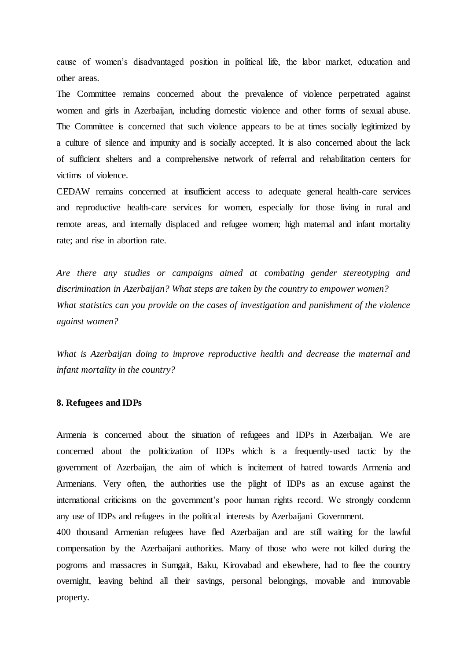cause of women's disadvantaged position in political life, the labor market, education and other areas.

The Committee remains concerned about the prevalence of violence perpetrated against women and girls in Azerbaijan, including domestic violence and other forms of sexual abuse. The Committee is concerned that such violence appears to be at times socially legitimized by a culture of silence and impunity and is socially accepted. It is also concerned about the lack of sufficient shelters and a comprehensive network of referral and rehabilitation centers for victims of violence.

CEDAW remains concerned at insufficient access to adequate general health-care services and reproductive health-care services for women, especially for those living in rural and remote areas, and internally displaced and refugee women; high maternal and infant mortality rate; and rise in abortion rate.

*Are there any studies or campaigns aimed at combating gender stereotyping and discrimination in Azerbaijan? What steps are taken by the country to empower women? What statistics can you provide on the cases of investigation and punishment of the violence against women?*

*What is Azerbaijan doing to improve reproductive health and decrease the maternal and infant mortality in the country?*

## **8. Refugees and IDPs**

Armenia is concerned about the situation of refugees and IDPs in Azerbaijan. We are concerned about the politicization of IDPs which is a frequently-used tactic by the government of Azerbaijan, the aim of which is incitement of hatred towards Armenia and Armenians. Very often, the authorities use the plight of IDPs as an excuse against the international criticisms on the government's poor human rights record. We strongly condemn any use of IDPs and refugees in the political interests by Azerbaijani Government.

400 thousand Armenian refugees have fled Azerbaijan and are still waiting for the lawful compensation by the Azerbaijani authorities. Many of those who were not killed during the pogroms and massacres in Sumgait, Baku, Kirovabad and elsewhere, had to flee the country overnight, leaving behind all their savings, personal belongings, movable and immovable property.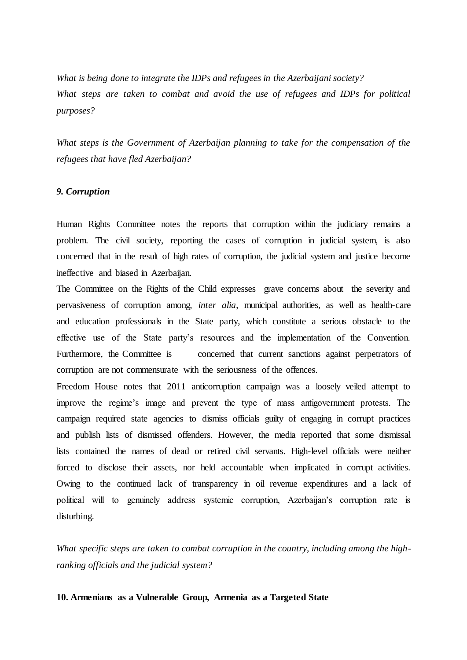*What is being done to integrate the IDPs and refugees in the Azerbaijani society? What steps are taken to combat and avoid the use of refugees and IDPs for political purposes?*

*What steps is the Government of Azerbaijan planning to take for the compensation of the refugees that have fled Azerbaijan?*

#### *9. Corruption*

Human Rights Committee notes the reports that corruption within the judiciary remains a problem. The civil society, reporting the cases of corruption in judicial system, is also concerned that in the result of high rates of corruption, the judicial system and justice become ineffective and biased in Azerbaijan.

The Committee on the Rights of the Child expresses grave concerns about the severity and pervasiveness of corruption among, *inter alia*, municipal authorities, as well as health-care and education professionals in the State party, which constitute a serious obstacle to the effective use of the State party's resources and the implementation of the Convention. Furthermore, the Committee is concerned that current sanctions against perpetrators of corruption are not commensurate with the seriousness of the offences.

Freedom House notes that 2011 anticorruption campaign was a loosely veiled attempt to improve the regime's image and prevent the type of mass antigovernment protests. The campaign required state agencies to dismiss officials guilty of engaging in corrupt practices and publish lists of dismissed offenders. However, the media reported that some dismissal lists contained the names of dead or retired civil servants. High-level officials were neither forced to disclose their assets, nor held accountable when implicated in corrupt activities. Owing to the continued lack of transparency in oil revenue expenditures and a lack of political will to genuinely address systemic corruption, Azerbaijan's corruption rate is disturbing.

*What specific steps are taken to combat corruption in the country, including among the highranking officials and the judicial system?* 

## **10. Armenians as a Vulnerable Group, Armenia as a Targeted State**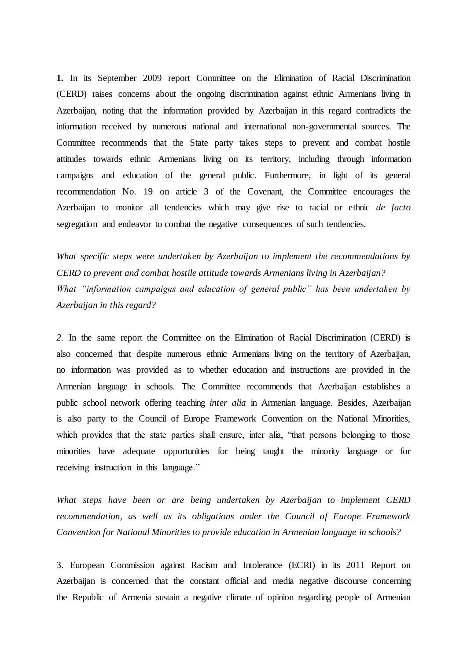**1.** In its September 2009 report Committee on the Elimination of Racial Discrimination (CERD) raises concerns about the ongoing discrimination against ethnic Armenians living in Azerbaijan, noting that the information provided by Azerbaijan in this regard contradicts the information received by numerous national and international non-governmental sources. The Committee recommends that the State party takes steps to prevent and combat hostile attitudes towards ethnic Armenians living on its territory, including through information campaigns and education of the general public. Furthermore, in light of its general recommendation No. 19 on article 3 of the Covenant, the Committee encourages the Azerbaijan to monitor all tendencies which may give rise to racial or ethnic *de facto* segregation and endeavor to combat the negative consequences of such tendencies.

*What specific steps were undertaken by Azerbaijan to implement the recommendations by CERD to prevent and combat hostile attitude towards Armenians living in Azerbaijan? What "information campaigns and education of general public" has been undertaken by Azerbaijan in this regard?*

*2.* In the same report the Committee on the Elimination of Racial Discrimination (CERD) is also concerned that despite numerous ethnic Armenians living on the territory of Azerbaijan, no information was provided as to whether education and instructions are provided in the Armenian language in schools. The Committee recommends that Azerbaijan establishes a public school network offering teaching *inter alia* in Armenian language. Besides, Azerbaijan is also party to the Council of Europe Framework Convention on the National Minorities, which provides that the state parties shall ensure, inter alia, "that persons belonging to those minorities have adequate opportunities for being taught the minority language or for receiving instruction in this language."

*What steps have been or are being undertaken by Azerbaijan to implement CERD recommendation, as well as its obligations under the Council of Europe Framework Convention for National Minorities to provide education in Armenian language in schools?*

3. European Commission against Racism and Intolerance (ECRI) in its 2011 Report on Azerbaijan is concerned that the constant official and media negative discourse concerning the Republic of Armenia sustain a negative climate of opinion regarding people of Armenian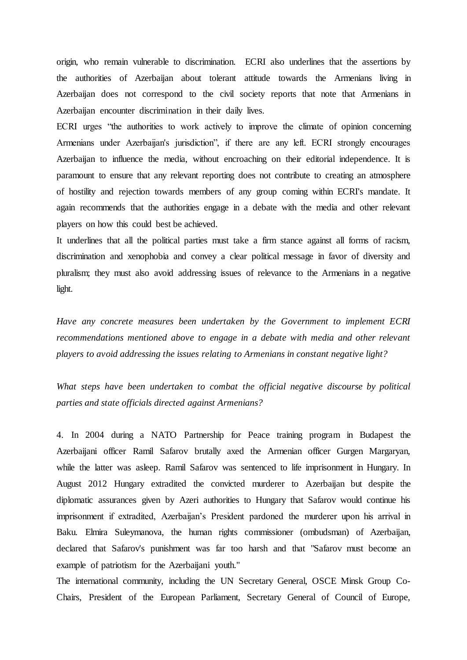origin, who remain vulnerable to discrimination. ECRI also underlines that the assertions by the authorities of Azerbaijan about tolerant attitude towards the Armenians living in Azerbaijan does not correspond to the civil society reports that note that Armenians in Azerbaijan encounter discrimination in their daily lives.

ECRI urges "the authorities to work actively to improve the climate of opinion concerning Armenians under Azerbaijan's jurisdiction", if there are any left. ECRI strongly encourages Azerbaijan to influence the media, without encroaching on their editorial independence. It is paramount to ensure that any relevant reporting does not contribute to creating an atmosphere of hostility and rejection towards members of any group coming within ECRI's mandate. It again recommends that the authorities engage in a debate with the media and other relevant players on how this could best be achieved.

It underlines that all the political parties must take a firm stance against all forms of racism, discrimination and xenophobia and convey a clear political message in favor of diversity and pluralism; they must also avoid addressing issues of relevance to the Armenians in a negative light.

*Have any concrete measures been undertaken by the Government to implement ECRI recommendations mentioned above to engage in a debate with media and other relevant players to avoid addressing the issues relating to Armenians in constant negative light?*

*What steps have been undertaken to combat the official negative discourse by political parties and state officials directed against Armenians?* 

4. In 2004 during a NATO Partnership for Peace training program in Budapest the Azerbaijani officer Ramil Safarov brutally axed the Armenian officer Gurgen Margaryan, while the latter was asleep. Ramil Safarov was sentenced to life imprisonment in Hungary. In August 2012 Hungary extradited the convicted murderer to Azerbaijan but despite the diplomatic assurances given by Azeri authorities to Hungary that Safarov would continue his imprisonment if extradited, Azerbaijan's President pardoned the murderer upon his arrival in Baku. Elmira Suleymanova, the human rights commissioner (ombudsman) of Azerbaijan, declared that Safarov's punishment was far too harsh and that "Safarov must become an example of patriotism for the Azerbaijani youth."

The international community, including the UN Secretary General, OSCE Minsk Group Co-Chairs, President of the European Parliament, Secretary General of Council of Europe,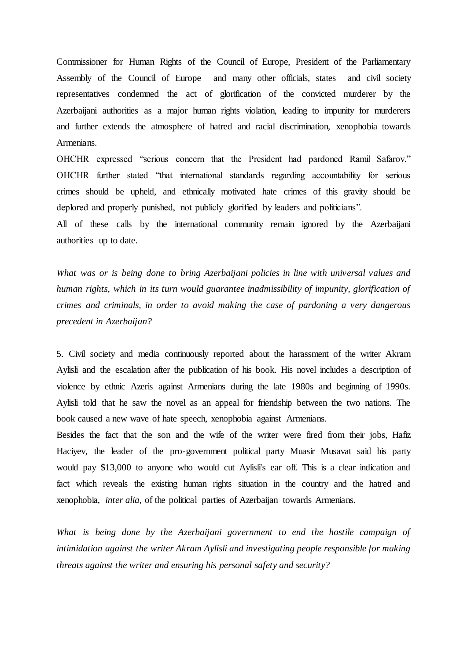Commissioner for Human Rights of the Council of Europe, President of the Parliamentary Assembly of the Council of Europe and many other officials, states and civil society representatives condemned the act of glorification of the convicted murderer by the Azerbaijani authorities as a major human rights violation, leading to impunity for murderers and further extends the atmosphere of hatred and racial discrimination, xenophobia towards Armenians.

OHCHR expressed "serious concern that the President had pardoned Ramil Safarov." OHCHR further stated "that international standards regarding accountability for serious crimes should be upheld, and ethnically motivated hate crimes of this gravity should be deplored and properly punished, not publicly glorified by leaders and politicians". All of these calls by the international community remain ignored by the Azerbaijani authorities up to date.

*What was or is being done to bring Azerbaijani policies in line with universal values and human rights, which in its turn would guarantee inadmissibility of impunity, glorification of crimes and criminals, in order to avoid making the case of pardoning a very dangerous precedent in Azerbaijan?*

5. Civil society and media continuously reported about the harassment of the writer Akram Aylisli and the escalation after the publication of his book. His novel includes a description of violence by ethnic Azeris against Armenians during the late 1980s and beginning of 1990s. Aylisli told that he saw the novel as an appeal for friendship between the two nations. The book caused a new wave of hate speech, xenophobia against Armenians.

Besides the fact that the son and the wife of the writer were fired from their jobs, Hafiz Haciyev, the leader of the pro-government political party Muasir Musavat said his party would pay \$13,000 to anyone who would cut Aylisli's ear off. This is a clear indication and fact which reveals the existing human rights situation in the country and the hatred and xenophobia, *inter alia*, of the political parties of Azerbaijan towards Armenians.

*What is being done by the Azerbaijani government to end the hostile campaign of intimidation against the writer Akram Aylisli and investigating people responsible for making threats against the writer and ensuring his personal safety and security?*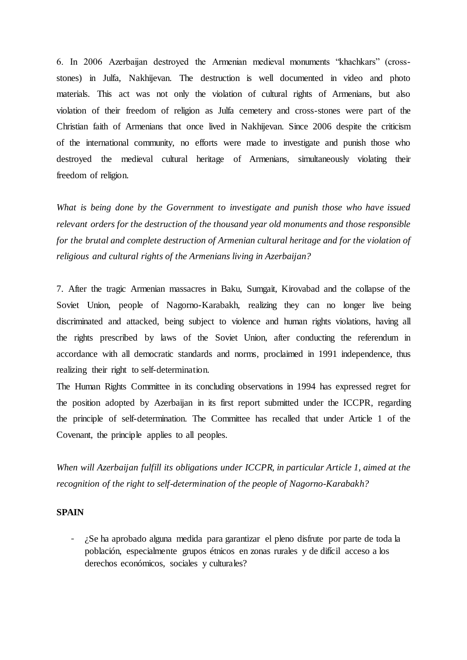6. In 2006 Azerbaijan destroyed the Armenian medieval monuments "khachkars" (crossstones) in Julfa, Nakhijevan. The destruction is well documented in video and photo materials. This act was not only the violation of cultural rights of Armenians, but also violation of their freedom of religion as Julfa cemetery and cross-stones were part of the Christian faith of Armenians that once lived in Nakhijevan. Since 2006 despite the criticism of the international community, no efforts were made to investigate and punish those who destroyed the medieval cultural heritage of Armenians, simultaneously violating their freedom of religion.

*What is being done by the Government to investigate and punish those who have issued relevant orders for the destruction of the thousand year old monuments and those responsible for the brutal and complete destruction of Armenian cultural heritage and for the violation of religious and cultural rights of the Armenians living in Azerbaijan?*

7. After the tragic Armenian massacres in Baku, Sumgait, Kirovabad and the collapse of the Soviet Union, people of Nagorno-Karabakh, realizing they can no longer live being discriminated and attacked, being subject to violence and human rights violations, having all the rights prescribed by laws of the Soviet Union, after conducting the referendum in accordance with all democratic standards and norms, proclaimed in 1991 independence, thus realizing their right to self-determination.

The Human Rights Committee in its concluding observations in 1994 has expressed regret for the position adopted by Azerbaijan in its first report submitted under the ICCPR, regarding the principle of self-determination. The Committee has recalled that under Article 1 of the Covenant, the principle applies to all peoples.

*When will Azerbaijan fulfill its obligations under ICCPR, in particular Article 1, aimed at the recognition of the right to self-determination of the people of Nagorno-Karabakh?* 

## **SPAIN**

- ¿Se ha aprobado alguna medida para garantizar el pleno disfrute por parte de toda la población, especialmente grupos étnicos en zonas rurales y de difícil acceso a los derechos económicos, sociales y culturales?